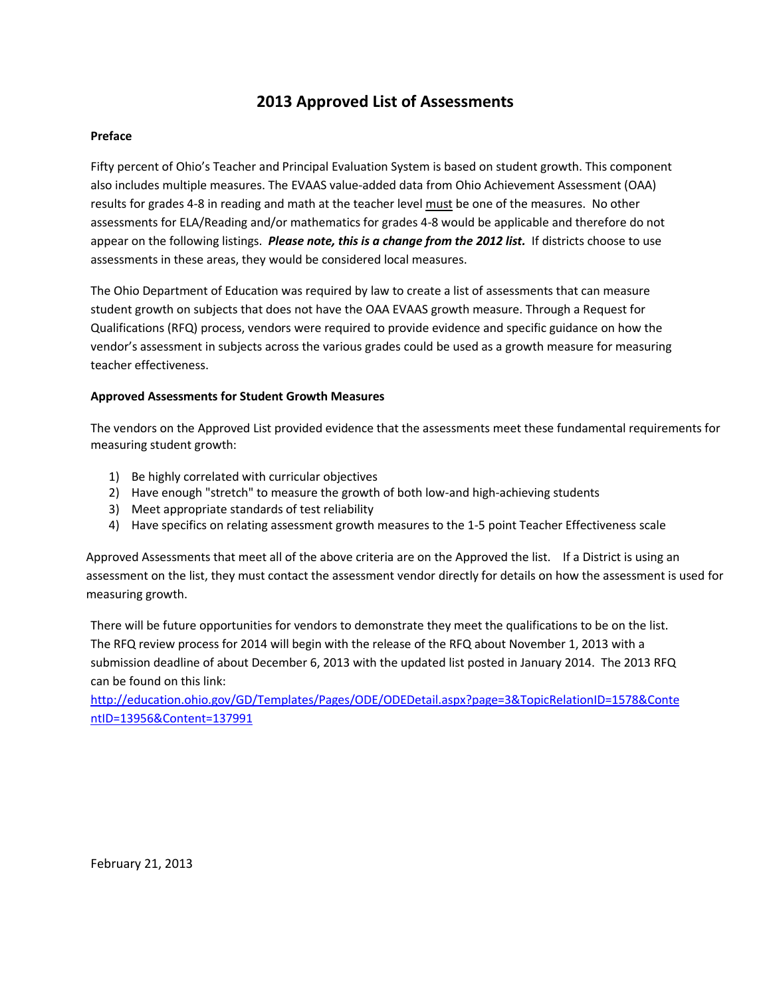## **2013 Approved List of Assessments**

#### **Preface**

Fifty percent of Ohio's Teacher and Principal Evaluation System is based on student growth. This component also includes multiple measures. The EVAAS value-added data from Ohio Achievement Assessment (OAA) results for grades 4-8 in reading and math at the teacher level must be one of the measures. No other assessments for ELA/Reading and/or mathematics for grades 4-8 would be applicable and therefore do not appear on the following listings. *Please note, this is a change from the 2012 list.* If districts choose to use assessments in these areas, they would be considered local measures.

The Ohio Department of Education was required by law to create a list of assessments that can measure student growth on subjects that does not have the OAA EVAAS growth measure. Through a Request for Qualifications (RFQ) process, vendors were required to provide evidence and specific guidance on how the vendor's assessment in subjects across the various grades could be used as a growth measure for measuring teacher effectiveness.

#### **Approved Assessments for Student Growth Measures**

The vendors on the Approved List provided evidence that the assessments meet these fundamental requirements for measuring student growth:

- 1) Be highly correlated with curricular objectives
- 2) Have enough "stretch" to measure the growth of both low-and high-achieving students
- 3) Meet appropriate standards of test reliability
- 4) Have specifics on relating assessment growth measures to the 1-5 point Teacher Effectiveness scale

Approved Assessments that meet all of the above criteria are on the Approved the list. If a District is using an assessment on the list, they must contact the assessment vendor directly for details on how the assessment is used for measuring growth.

There will be future opportunities for vendors to demonstrate they meet the qualifications to be on the list. The RFQ review process for 2014 will begin with the release of the RFQ about November 1, 2013 with a submission deadline of about December 6, 2013 with the updated list posted in January 2014. The 2013 RFQ can be found on this link:

[http://education.ohio.gov/GD/Templates/Pages/ODE/ODEDetail.aspx?page=3&TopicRelationID=1578&Conte](http://education.ohio.gov/GD/Templates/Pages/ODE/ODEDetail.aspx?page=3&TopicRelationID=1578&ContentID=13956&Content=137991) [ntID=13956&Content=137991](http://education.ohio.gov/GD/Templates/Pages/ODE/ODEDetail.aspx?page=3&TopicRelationID=1578&ContentID=13956&Content=137991)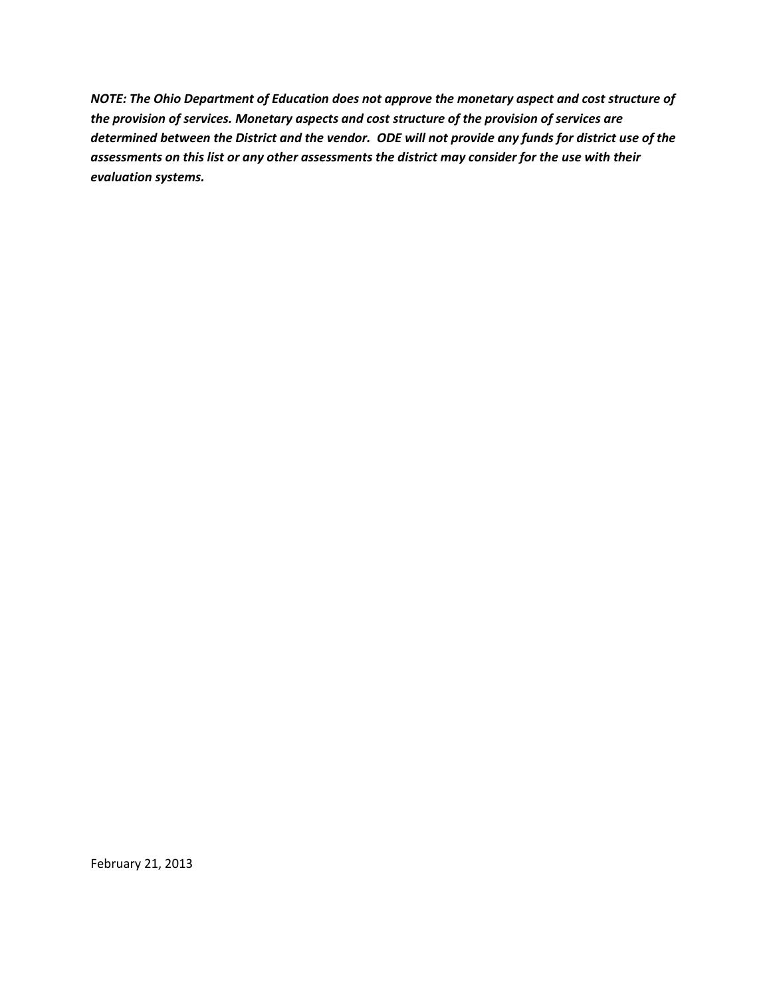*NOTE: The Ohio Department of Education does not approve the monetary aspect and cost structure of the provision of services. Monetary aspects and cost structure of the provision of services are determined between the District and the vendor. ODE will not provide any funds for district use of the assessments on this list or any other assessments the district may consider for the use with their evaluation systems.*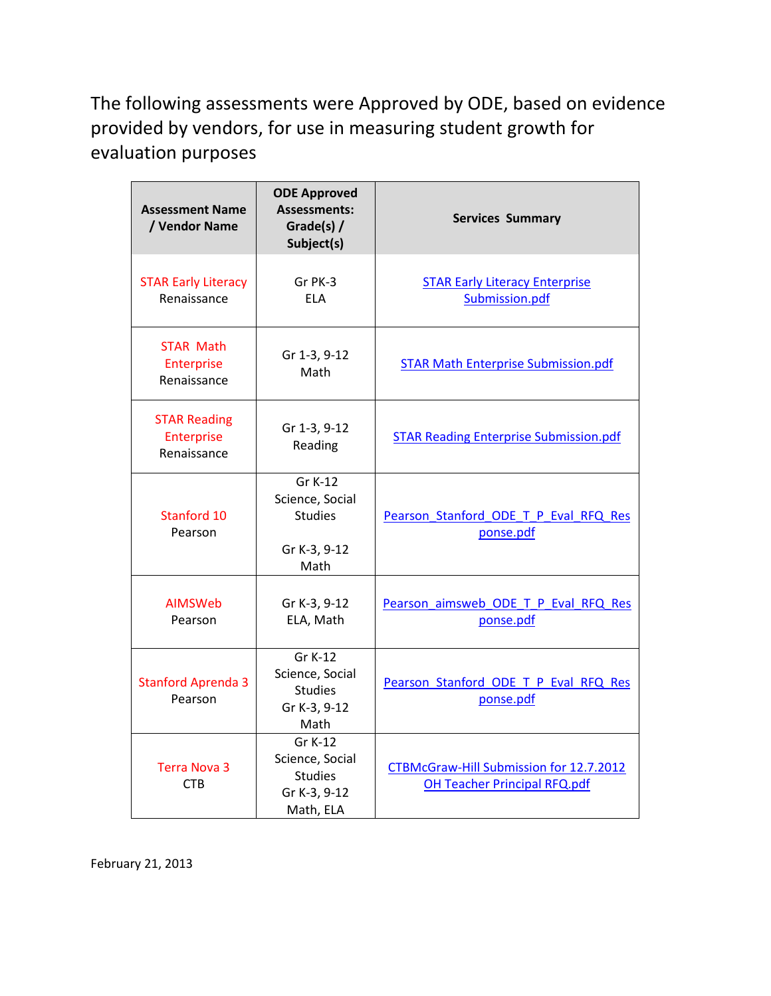The following assessments were Approved by ODE, based on evidence provided by vendors, for use in measuring student growth for evaluation purposes

| <b>Assessment Name</b><br>/ Vendor Name          | <b>ODE Approved</b><br><b>Assessments:</b><br>Grade(s) /<br>Subject(s)    | <b>Services Summary</b>                                                        |
|--------------------------------------------------|---------------------------------------------------------------------------|--------------------------------------------------------------------------------|
| <b>STAR Early Literacy</b><br>Renaissance        | Gr PK-3<br><b>ELA</b>                                                     | <b>STAR Early Literacy Enterprise</b><br>Submission.pdf                        |
| <b>STAR Math</b><br>Enterprise<br>Renaissance    | Gr 1-3, 9-12<br>Math                                                      | <b>STAR Math Enterprise Submission.pdf</b>                                     |
| <b>STAR Reading</b><br>Enterprise<br>Renaissance | Gr 1-3, 9-12<br>Reading                                                   | <b>STAR Reading Enterprise Submission.pdf</b>                                  |
| Stanford 10<br>Pearson                           | Gr K-12<br>Science, Social<br><b>Studies</b><br>Gr K-3, 9-12<br>Math      | Pearson Stanford ODE T P Eval RFQ Res<br>ponse.pdf                             |
| <b>AIMSWeb</b><br>Pearson                        | Gr K-3, 9-12<br>ELA, Math                                                 | Pearson aimsweb ODE T P Eval RFQ Res<br>ponse.pdf                              |
| <b>Stanford Aprenda 3</b><br>Pearson             | Gr K-12<br>Science, Social<br><b>Studies</b><br>Gr K-3, 9-12<br>Math      | Pearson Stanford ODE T P Eval RFQ Res<br>ponse.pdf                             |
| <b>Terra Nova 3</b><br><b>CTB</b>                | Gr K-12<br>Science, Social<br><b>Studies</b><br>Gr K-3, 9-12<br>Math, ELA | CTBMcGraw-Hill Submission for 12.7.2012<br><b>OH Teacher Principal RFQ.pdf</b> |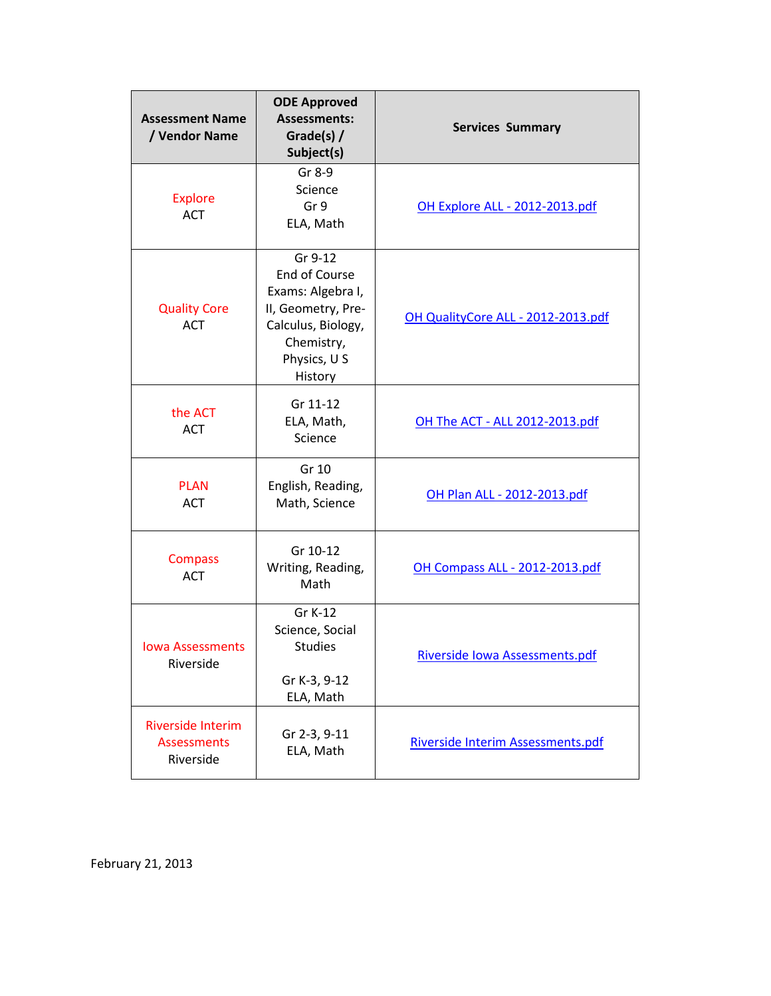| <b>Assessment Name</b><br>/ Vendor Name                     | <b>ODE Approved</b><br><b>Assessments:</b><br>Grade(s) /<br>Subject(s)                                                                    | <b>Services Summary</b>            |
|-------------------------------------------------------------|-------------------------------------------------------------------------------------------------------------------------------------------|------------------------------------|
| <b>Explore</b><br><b>ACT</b>                                | Gr 8-9<br>Science<br>Gr 9<br>ELA, Math                                                                                                    | OH Explore ALL - 2012-2013.pdf     |
| <b>Quality Core</b><br><b>ACT</b>                           | Gr 9-12<br><b>End of Course</b><br>Exams: Algebra I,<br>II, Geometry, Pre-<br>Calculus, Biology,<br>Chemistry,<br>Physics, U S<br>History | OH QualityCore ALL - 2012-2013.pdf |
| the ACT<br><b>ACT</b>                                       | Gr 11-12<br>ELA, Math,<br>Science                                                                                                         | OH The ACT - ALL 2012-2013.pdf     |
| <b>PLAN</b><br><b>ACT</b>                                   | Gr 10<br>English, Reading,<br>Math, Science                                                                                               | OH Plan ALL - 2012-2013.pdf        |
| <b>Compass</b><br><b>ACT</b>                                | Gr 10-12<br>Writing, Reading,<br>Math                                                                                                     | OH Compass ALL - 2012-2013.pdf     |
| <b>Iowa Assessments</b><br>Riverside                        | Gr K-12<br>Science, Social<br><b>Studies</b><br>Gr K-3, 9-12<br>ELA, Math                                                                 | Riverside Iowa Assessments.pdf     |
| <b>Riverside Interim</b><br><b>Assessments</b><br>Riverside | Gr 2-3, 9-11<br>ELA, Math                                                                                                                 | Riverside Interim Assessments.pdf  |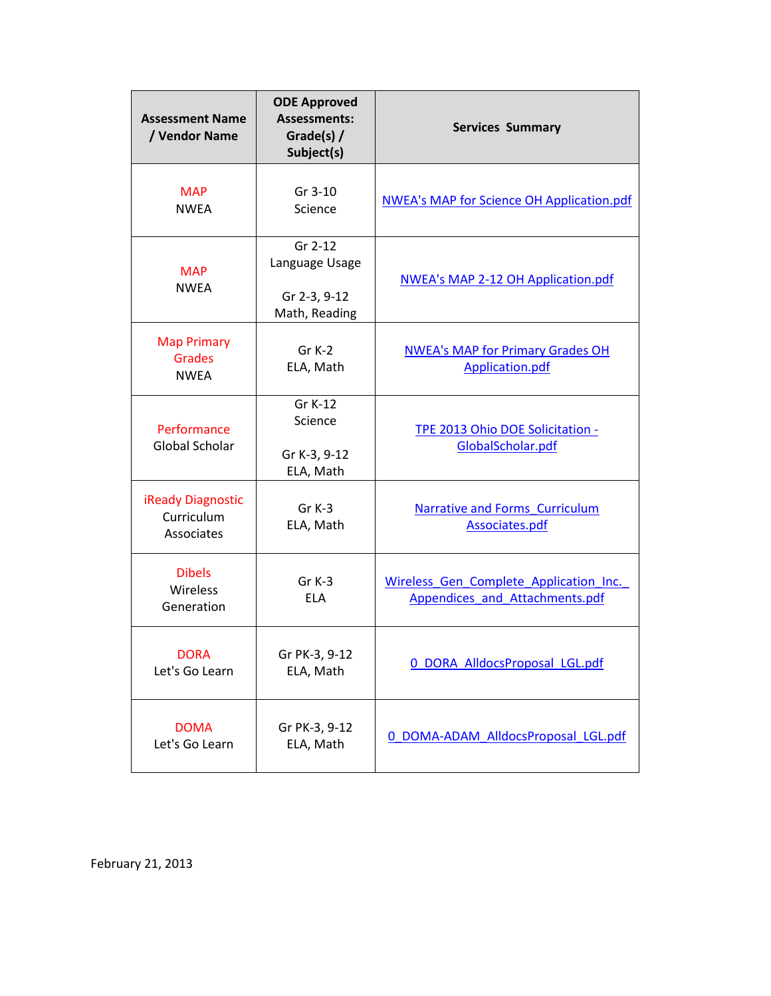| <b>Assessment Name</b><br>/ Vendor Name              | <b>ODE Approved</b><br><b>Assessments:</b><br>Grade(s) /<br>Subject(s) | <b>Services Summary</b>                                                  |
|------------------------------------------------------|------------------------------------------------------------------------|--------------------------------------------------------------------------|
| <b>MAP</b><br><b>NWEA</b>                            | Gr 3-10<br>Science                                                     | <b>NWEA's MAP for Science OH Application.pdf</b>                         |
| <b>MAP</b><br><b>NWEA</b>                            | Gr 2-12<br>Language Usage<br>Gr 2-3, 9-12<br>Math, Reading             | <b>NWEA's MAP 2-12 OH Application.pdf</b>                                |
| <b>Map Primary</b><br><b>Grades</b><br><b>NWEA</b>   | Gr K-2<br>ELA, Math                                                    | <b>NWEA's MAP for Primary Grades OH</b><br>Application.pdf               |
| Performance<br>Global Scholar                        | Gr K-12<br>Science<br>Gr K-3, 9-12<br>ELA, Math                        | TPE 2013 Ohio DOE Solicitation -<br>GlobalScholar.pdf                    |
| <b>iReady Diagnostic</b><br>Curriculum<br>Associates | $Gr K-3$<br>ELA, Math                                                  | Narrative and Forms Curriculum<br>Associates.pdf                         |
| <b>Dibels</b><br>Wireless<br>Generation              | $Gr K-3$<br><b>ELA</b>                                                 | Wireless Gen Complete Application Inc.<br>Appendices and Attachments.pdf |
| <b>DORA</b><br>Let's Go Learn                        | Gr PK-3, 9-12<br>ELA, Math                                             | 0 DORA AlldocsProposal LGL.pdf                                           |
| <b>DOMA</b><br>Let's Go Learn                        | Gr PK-3, 9-12<br>ELA, Math                                             | 0 DOMA-ADAM AlldocsProposal LGL.pdf                                      |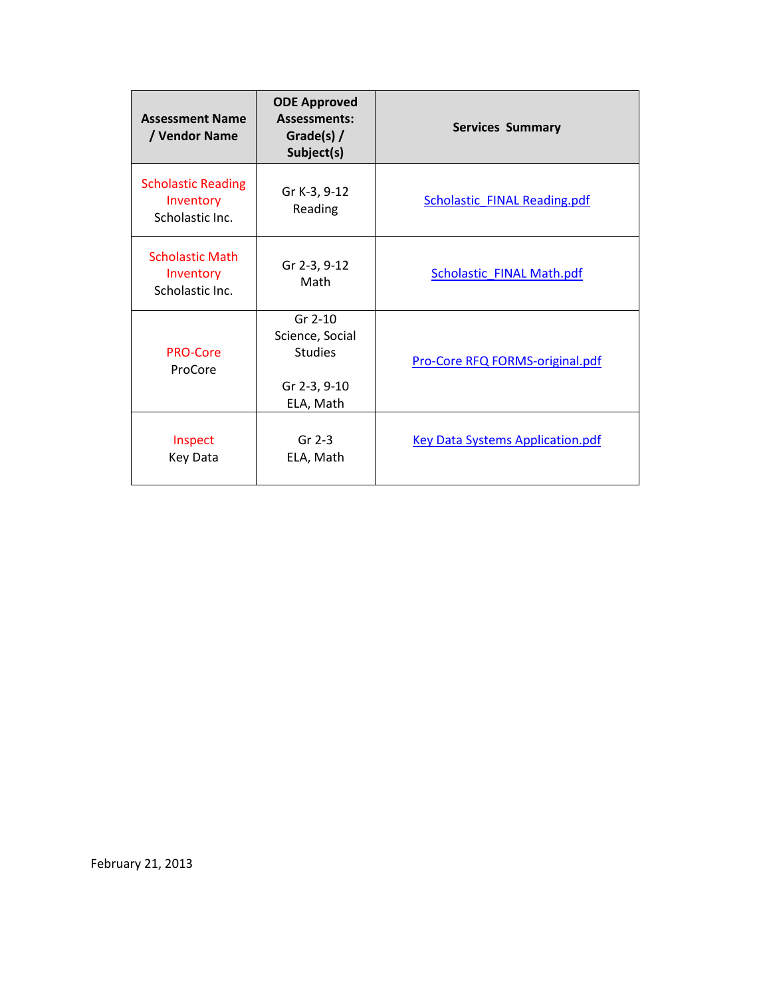| <b>Assessment Name</b><br>/ Vendor Name                   | <b>ODE Approved</b><br><b>Assessments:</b><br>Grade(s) /<br>Subject(s)      | <b>Services Summary</b>                 |
|-----------------------------------------------------------|-----------------------------------------------------------------------------|-----------------------------------------|
| <b>Scholastic Reading</b><br>Inventory<br>Scholastic Inc. | Gr K-3, 9-12<br>Reading                                                     | <b>Scholastic FINAL Reading.pdf</b>     |
| <b>Scholastic Math</b><br>Inventory<br>Scholastic Inc.    | Gr 2-3, 9-12<br>Math                                                        | <b>Scholastic FINAL Math.pdf</b>        |
| <b>PRO-Core</b><br>ProCore                                | $Gr 2-10$<br>Science, Social<br><b>Studies</b><br>Gr 2-3, 9-10<br>ELA, Math | Pro-Core RFQ FORMS-original.pdf         |
| Inspect<br>Key Data                                       | $Gr 2-3$<br>ELA, Math                                                       | <b>Key Data Systems Application.pdf</b> |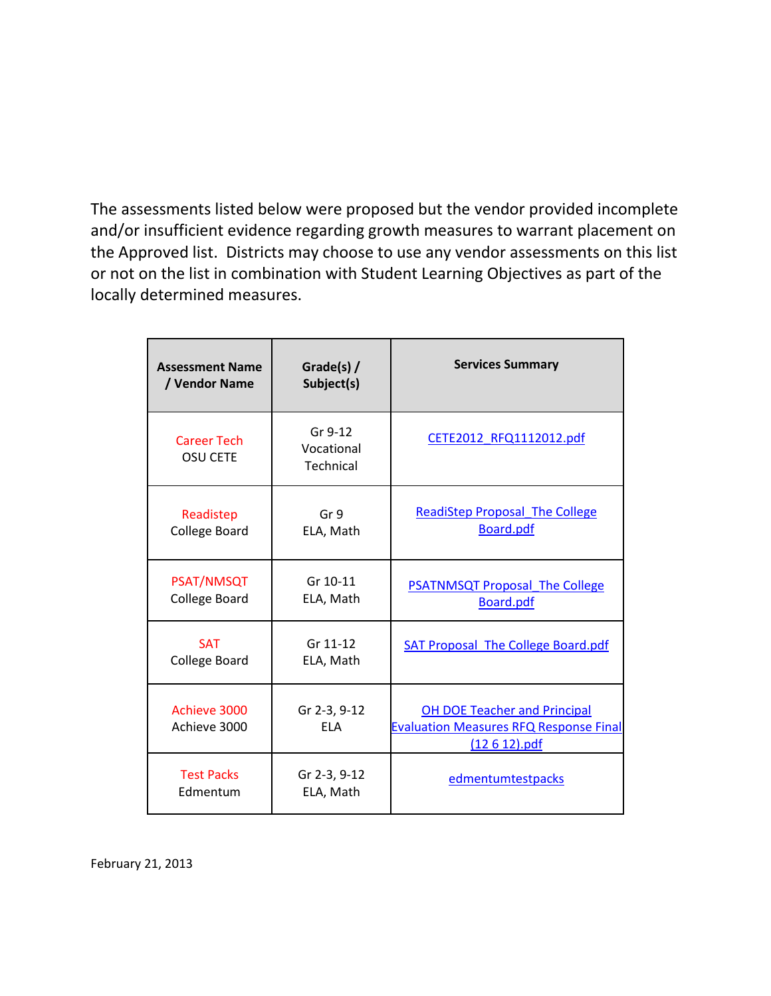The assessments listed below were proposed but the vendor provided incomplete and/or insufficient evidence regarding growth measures to warrant placement on the Approved list. Districts may choose to use any vendor assessments on this list or not on the list in combination with Student Learning Objectives as part of the locally determined measures.

| <b>Assessment Name</b><br>/ Vendor Name   | Grade(s) /<br>Subject(s)           | <b>Services Summary</b>                                                                                  |
|-------------------------------------------|------------------------------------|----------------------------------------------------------------------------------------------------------|
| <b>Career Tech</b><br><b>OSU CETE</b>     | Gr 9-12<br>Vocational<br>Technical | CETE2012_RFQ1112012.pdf                                                                                  |
| Readistep<br><b>College Board</b>         | Gr 9<br>ELA, Math                  | <b>ReadiStep Proposal The College</b><br><b>Board.pdf</b>                                                |
| <b>PSAT/NMSQT</b><br><b>College Board</b> | Gr 10-11<br>ELA, Math              | <b>PSATNMSQT Proposal The College</b><br>Board.pdf                                                       |
| <b>SAT</b><br>College Board               | Gr 11-12<br>ELA, Math              | SAT Proposal The College Board.pdf                                                                       |
| Achieve 3000<br>Achieve 3000              | Gr 2-3, 9-12<br><b>FLA</b>         | <b>OH DOE Teacher and Principal</b><br><b>Evaluation Measures RFQ Response Final</b><br>$(12 6 12)$ .pdf |
| <b>Test Packs</b><br>Edmentum             | Gr 2-3, 9-12<br>ELA, Math          | edmentumtestpacks                                                                                        |